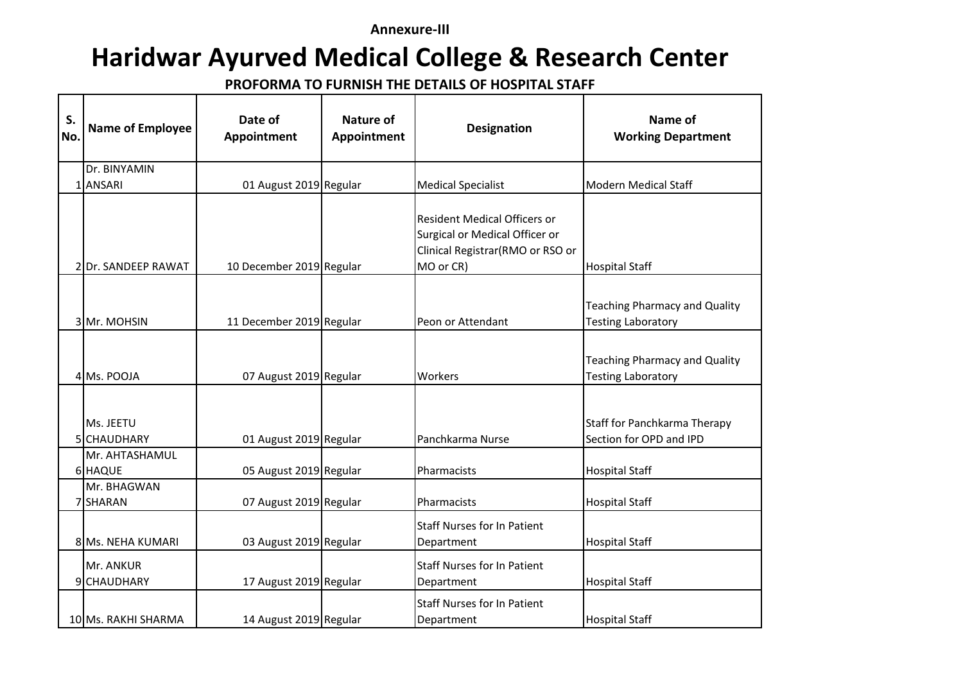## **Annexure-III**

## **Haridwar Ayurved Medical College & Research Center**

**PROFORMA TO FURNISH THE DETAILS OF HOSPITAL STAFF**

| S.<br>No. | <b>Name of Employee</b>   | Date of<br>Appointment   | <b>Nature of</b><br>Appointment | <b>Designation</b>                                                                                                     | Name of<br><b>Working Department</b>                              |
|-----------|---------------------------|--------------------------|---------------------------------|------------------------------------------------------------------------------------------------------------------------|-------------------------------------------------------------------|
|           | Dr. BINYAMIN              |                          |                                 |                                                                                                                        |                                                                   |
|           | 1 ANSARI                  | 01 August 2019 Regular   |                                 | <b>Medical Specialist</b>                                                                                              | <b>Modern Medical Staff</b>                                       |
|           | 2 Dr. SANDEEP RAWAT       | 10 December 2019 Regular |                                 | <b>Resident Medical Officers or</b><br>Surgical or Medical Officer or<br>Clinical Registrar(RMO or RSO or<br>MO or CR) | <b>Hospital Staff</b>                                             |
|           | 3 Mr. MOHSIN              | 11 December 2019 Regular |                                 | Peon or Attendant                                                                                                      | <b>Teaching Pharmacy and Quality</b><br><b>Testing Laboratory</b> |
|           | 4 Ms. POOJA               | 07 August 2019 Regular   |                                 | Workers                                                                                                                | <b>Teaching Pharmacy and Quality</b><br><b>Testing Laboratory</b> |
|           | Ms. JEETU<br>5 CHAUDHARY  | 01 August 2019 Regular   |                                 | Panchkarma Nurse                                                                                                       | Staff for Panchkarma Therapy<br>Section for OPD and IPD           |
|           | Mr. AHTASHAMUL<br>6 HAQUE | 05 August 2019 Regular   |                                 | Pharmacists                                                                                                            | <b>Hospital Staff</b>                                             |
|           | Mr. BHAGWAN<br>7 SHARAN   | 07 August 2019 Regular   |                                 | Pharmacists                                                                                                            | <b>Hospital Staff</b>                                             |
|           | 8 Ms. NEHA KUMARI         | 03 August 2019 Regular   |                                 | <b>Staff Nurses for In Patient</b><br>Department                                                                       | <b>Hospital Staff</b>                                             |
|           | Mr. ANKUR<br>9 CHAUDHARY  | 17 August 2019 Regular   |                                 | <b>Staff Nurses for In Patient</b><br>Department                                                                       | <b>Hospital Staff</b>                                             |
|           | 10 Ms. RAKHI SHARMA       | 14 August 2019 Regular   |                                 | <b>Staff Nurses for In Patient</b><br>Department                                                                       | <b>Hospital Staff</b>                                             |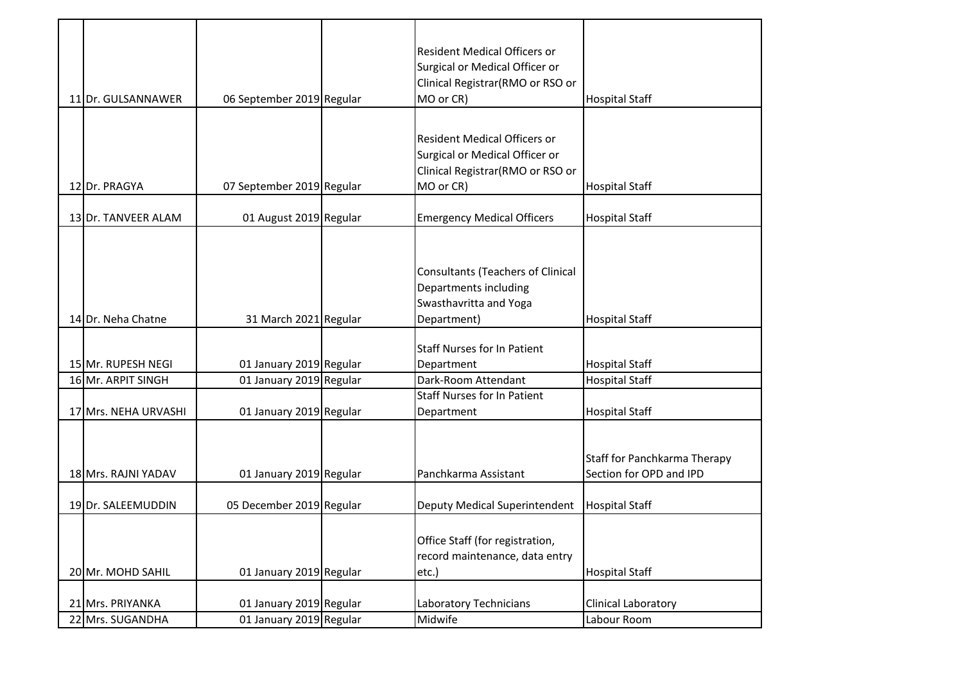| 11 Dr. GULSANNAWER   | 06 September 2019 Regular | <b>Resident Medical Officers or</b><br>Surgical or Medical Officer or<br>Clinical Registrar(RMO or RSO or<br>MO or CR) | <b>Hospital Staff</b>                                   |
|----------------------|---------------------------|------------------------------------------------------------------------------------------------------------------------|---------------------------------------------------------|
|                      |                           | <b>Resident Medical Officers or</b><br>Surgical or Medical Officer or<br>Clinical Registrar(RMO or RSO or              |                                                         |
| 12 Dr. PRAGYA        | 07 September 2019 Regular | MO or CR)                                                                                                              | <b>Hospital Staff</b>                                   |
| 13 Dr. TANVEER ALAM  | 01 August 2019 Regular    | <b>Emergency Medical Officers</b>                                                                                      | <b>Hospital Staff</b>                                   |
| 14 Dr. Neha Chatne   | 31 March 2021 Regular     | Consultants (Teachers of Clinical<br>Departments including<br>Swasthavritta and Yoga<br>Department)                    | <b>Hospital Staff</b>                                   |
| 15 Mr. RUPESH NEGI   | 01 January 2019 Regular   | <b>Staff Nurses for In Patient</b><br>Department                                                                       | <b>Hospital Staff</b>                                   |
| 16 Mr. ARPIT SINGH   | 01 January 2019 Regular   | Dark-Room Attendant                                                                                                    | <b>Hospital Staff</b>                                   |
| 17 Mrs. NEHA URVASHI | 01 January 2019 Regular   | <b>Staff Nurses for In Patient</b><br>Department                                                                       | <b>Hospital Staff</b>                                   |
| 18 Mrs. RAJNI YADAV  | 01 January 2019 Regular   | Panchkarma Assistant                                                                                                   | Staff for Panchkarma Therapy<br>Section for OPD and IPD |
| 19 Dr. SALEEMUDDIN   | 05 December 2019 Regular  | Deputy Medical Superintendent                                                                                          | <b>Hospital Staff</b>                                   |
| 20 Mr. MOHD SAHIL    | 01 January 2019 Regular   | Office Staff (for registration,<br>record maintenance, data entry<br>etc.)                                             | <b>Hospital Staff</b>                                   |
| 21 Mrs. PRIYANKA     | 01 January 2019 Regular   | Laboratory Technicians                                                                                                 | Clinical Laboratory                                     |
| 22 Mrs. SUGANDHA     | 01 January 2019 Regular   | Midwife                                                                                                                | Labour Room                                             |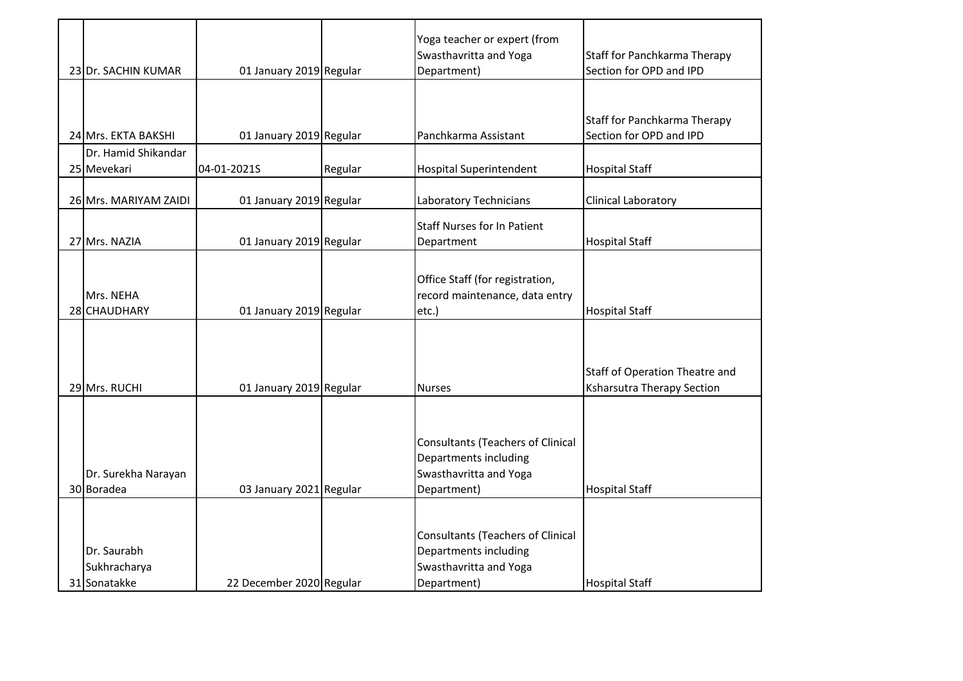| 23 Dr. SACHIN KUMAR                         | 01 January 2019 Regular  |         | Yoga teacher or expert (from<br>Swasthavritta and Yoga<br>Department)                                      | Staff for Panchkarma Therapy<br>Section for OPD and IPD             |
|---------------------------------------------|--------------------------|---------|------------------------------------------------------------------------------------------------------------|---------------------------------------------------------------------|
| 24 Mrs. EKTA BAKSHI                         | 01 January 2019 Regular  |         | Panchkarma Assistant                                                                                       | Staff for Panchkarma Therapy<br>Section for OPD and IPD             |
| Dr. Hamid Shikandar<br>25 Mevekari          | 04-01-2021S              | Regular | <b>Hospital Superintendent</b>                                                                             | <b>Hospital Staff</b>                                               |
| 26 Mrs. MARIYAM ZAIDI                       | 01 January 2019 Regular  |         | Laboratory Technicians                                                                                     | Clinical Laboratory                                                 |
| 27 Mrs. NAZIA                               | 01 January 2019 Regular  |         | <b>Staff Nurses for In Patient</b><br>Department                                                           | <b>Hospital Staff</b>                                               |
| Mrs. NEHA<br>28 CHAUDHARY                   | 01 January 2019 Regular  |         | Office Staff (for registration,<br>record maintenance, data entry<br>etc.)                                 | <b>Hospital Staff</b>                                               |
| 29 Mrs. RUCHI                               | 01 January 2019 Regular  |         | <b>Nurses</b>                                                                                              | Staff of Operation Theatre and<br><b>Ksharsutra Therapy Section</b> |
| Dr. Surekha Narayan<br>30 Boradea           | 03 January 2021 Regular  |         | <b>Consultants (Teachers of Clinical</b><br>Departments including<br>Swasthavritta and Yoga<br>Department) | <b>Hospital Staff</b>                                               |
| Dr. Saurabh<br>Sukhracharya<br>31 Sonatakke | 22 December 2020 Regular |         | <b>Consultants (Teachers of Clinical</b><br>Departments including<br>Swasthavritta and Yoga<br>Department) | <b>Hospital Staff</b>                                               |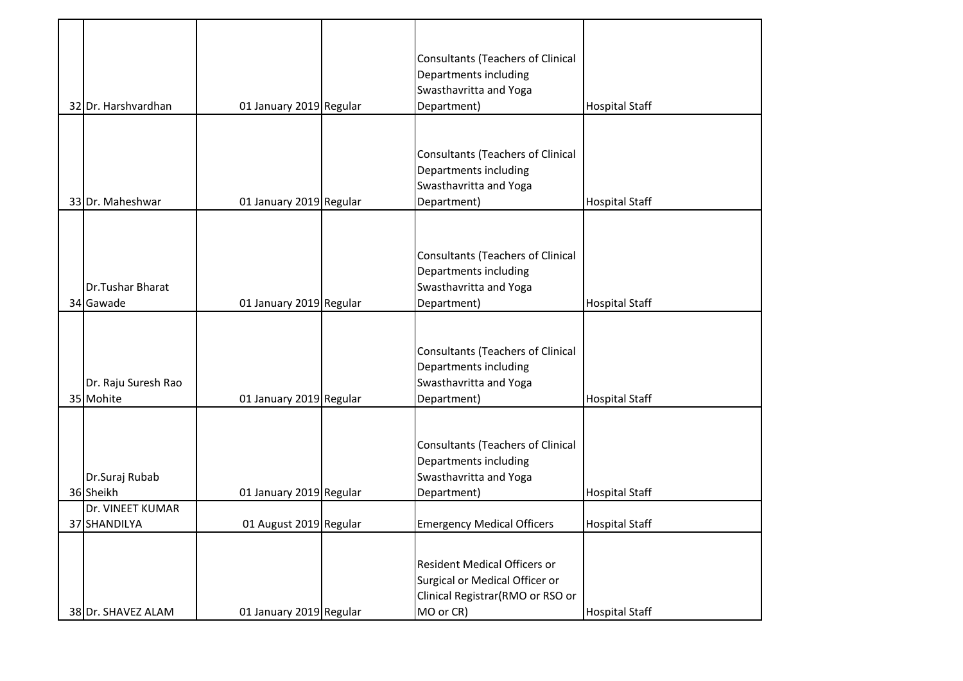|                     |                         | <b>Consultants (Teachers of Clinical</b> |                       |
|---------------------|-------------------------|------------------------------------------|-----------------------|
|                     |                         | Departments including                    |                       |
|                     |                         | Swasthavritta and Yoga                   |                       |
| 32 Dr. Harshvardhan | 01 January 2019 Regular | Department)                              | <b>Hospital Staff</b> |
|                     |                         |                                          |                       |
|                     |                         | <b>Consultants (Teachers of Clinical</b> |                       |
|                     |                         | Departments including                    |                       |
|                     |                         | Swasthavritta and Yoga                   |                       |
| 33 Dr. Maheshwar    | 01 January 2019 Regular | Department)                              | <b>Hospital Staff</b> |
|                     |                         |                                          |                       |
|                     |                         |                                          |                       |
|                     |                         | <b>Consultants (Teachers of Clinical</b> |                       |
|                     |                         | Departments including                    |                       |
| Dr.Tushar Bharat    |                         | Swasthavritta and Yoga                   |                       |
| 34 Gawade           | 01 January 2019 Regular | Department)                              | <b>Hospital Staff</b> |
|                     |                         |                                          |                       |
|                     |                         |                                          |                       |
|                     |                         | <b>Consultants (Teachers of Clinical</b> |                       |
|                     |                         | Departments including                    |                       |
| Dr. Raju Suresh Rao |                         | Swasthavritta and Yoga                   |                       |
| 35 Mohite           | 01 January 2019 Regular | Department)                              | <b>Hospital Staff</b> |
|                     |                         |                                          |                       |
|                     |                         | <b>Consultants (Teachers of Clinical</b> |                       |
|                     |                         | Departments including                    |                       |
| Dr.Suraj Rubab      |                         | Swasthavritta and Yoga                   |                       |
| 36 Sheikh           | 01 January 2019 Regular | Department)                              | <b>Hospital Staff</b> |
| Dr. VINEET KUMAR    |                         |                                          |                       |
| 37 SHANDILYA        | 01 August 2019 Regular  | <b>Emergency Medical Officers</b>        | <b>Hospital Staff</b> |
|                     |                         |                                          |                       |
|                     |                         | <b>Resident Medical Officers or</b>      |                       |
|                     |                         | Surgical or Medical Officer or           |                       |
|                     |                         | Clinical Registrar (RMO or RSO or        |                       |
| 38 Dr. SHAVEZ ALAM  | 01 January 2019 Regular | MO or CR)                                | <b>Hospital Staff</b> |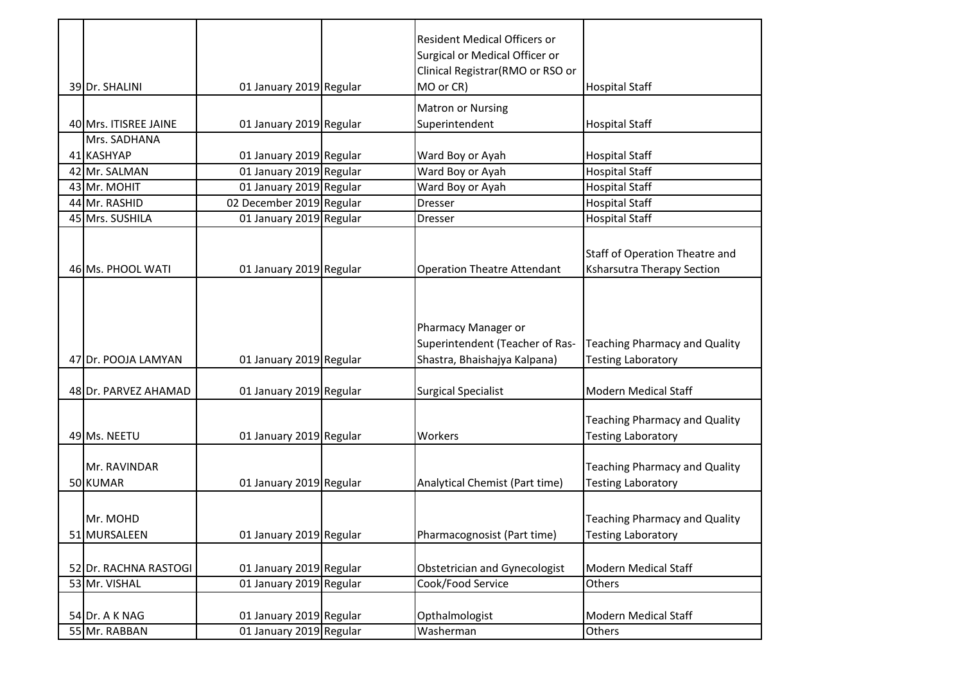|                       |                          | <b>Resident Medical Officers or</b> |                                       |
|-----------------------|--------------------------|-------------------------------------|---------------------------------------|
|                       |                          | Surgical or Medical Officer or      |                                       |
|                       |                          | Clinical Registrar (RMO or RSO or   |                                       |
| 39 Dr. SHALINI        | 01 January 2019 Regular  | MO or CR)                           | <b>Hospital Staff</b>                 |
|                       |                          | <b>Matron or Nursing</b>            |                                       |
| 40 Mrs. ITISREE JAINE | 01 January 2019 Regular  | Superintendent                      | <b>Hospital Staff</b>                 |
| Mrs. SADHANA          |                          |                                     |                                       |
| 41 KASHYAP            | 01 January 2019 Regular  | Ward Boy or Ayah                    | <b>Hospital Staff</b>                 |
| 42 Mr. SALMAN         | 01 January 2019 Regular  | Ward Boy or Ayah                    | <b>Hospital Staff</b>                 |
| 43 Mr. MOHIT          | 01 January 2019 Regular  | Ward Boy or Ayah                    | <b>Hospital Staff</b>                 |
| 44 Mr. RASHID         | 02 December 2019 Regular | Dresser                             | <b>Hospital Staff</b>                 |
| 45 Mrs. SUSHILA       | 01 January 2019 Regular  | <b>Dresser</b>                      | <b>Hospital Staff</b>                 |
|                       |                          |                                     |                                       |
|                       |                          |                                     | <b>Staff of Operation Theatre and</b> |
| 46 Ms. PHOOL WATI     | 01 January 2019 Regular  | <b>Operation Theatre Attendant</b>  | <b>Ksharsutra Therapy Section</b>     |
|                       |                          |                                     |                                       |
|                       |                          |                                     |                                       |
|                       |                          |                                     |                                       |
|                       |                          | Pharmacy Manager or                 |                                       |
|                       |                          | Superintendent (Teacher of Ras-     | <b>Teaching Pharmacy and Quality</b>  |
| 47 Dr. POOJA LAMYAN   | 01 January 2019 Regular  | Shastra, Bhaishajya Kalpana)        | <b>Testing Laboratory</b>             |
|                       |                          |                                     |                                       |
| 48 Dr. PARVEZ AHAMAD  | 01 January 2019 Regular  | <b>Surgical Specialist</b>          | <b>Modern Medical Staff</b>           |
|                       |                          |                                     |                                       |
| 49 Ms. NEETU          |                          | Workers                             | <b>Teaching Pharmacy and Quality</b>  |
|                       | 01 January 2019 Regular  |                                     | <b>Testing Laboratory</b>             |
| Mr. RAVINDAR          |                          |                                     | <b>Teaching Pharmacy and Quality</b>  |
| 50 KUMAR              | 01 January 2019 Regular  | Analytical Chemist (Part time)      | <b>Testing Laboratory</b>             |
|                       |                          |                                     |                                       |
|                       |                          |                                     |                                       |
| Mr. MOHD              |                          |                                     | <b>Teaching Pharmacy and Quality</b>  |
| 51 MURSALEEN          | 01 January 2019 Regular  | Pharmacognosist (Part time)         | Testing Laboratory                    |
|                       |                          |                                     |                                       |
| 52 Dr. RACHNA RASTOGI | 01 January 2019 Regular  | Obstetrician and Gynecologist       | Modern Medical Staff                  |
| 53 Mr. VISHAL         | 01 January 2019 Regular  | Cook/Food Service                   | <b>Others</b>                         |
|                       |                          |                                     |                                       |
| 54 Dr. A K NAG        | 01 January 2019 Regular  | Opthalmologist                      | <b>Modern Medical Staff</b>           |
| 55 Mr. RABBAN         | 01 January 2019 Regular  | Washerman                           | Others                                |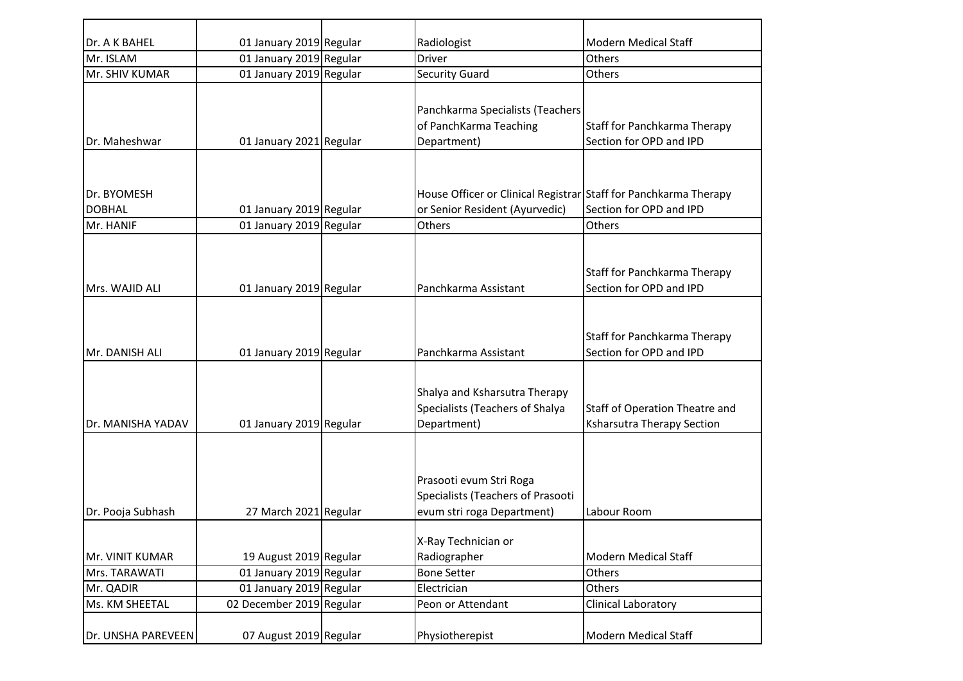| Dr. A K BAHEL                | 01 January 2019 Regular  | Radiologist                                                                                        | Modern Medical Staff                                                |
|------------------------------|--------------------------|----------------------------------------------------------------------------------------------------|---------------------------------------------------------------------|
| Mr. ISLAM                    | 01 January 2019 Regular  | <b>Driver</b>                                                                                      | Others                                                              |
| Mr. SHIV KUMAR               | 01 January 2019 Regular  | <b>Security Guard</b>                                                                              | <b>Others</b>                                                       |
| Dr. Maheshwar                | 01 January 2021 Regular  | Panchkarma Specialists (Teachers<br>of PanchKarma Teaching<br>Department)                          | Staff for Panchkarma Therapy<br>Section for OPD and IPD             |
| Dr. BYOMESH<br><b>DOBHAL</b> | 01 January 2019 Regular  | House Officer or Clinical Registrar Staff for Panchkarma Therapy<br>or Senior Resident (Ayurvedic) | Section for OPD and IPD                                             |
| Mr. HANIF                    | 01 January 2019 Regular  | Others                                                                                             | Others                                                              |
| Mrs. WAJID ALI               | 01 January 2019 Regular  | Panchkarma Assistant                                                                               | Staff for Panchkarma Therapy<br>Section for OPD and IPD             |
| Mr. DANISH ALI               | 01 January 2019 Regular  | Panchkarma Assistant                                                                               | Staff for Panchkarma Therapy<br>Section for OPD and IPD             |
| Dr. MANISHA YADAV            | 01 January 2019 Regular  | Shalya and Ksharsutra Therapy<br>Specialists (Teachers of Shalya<br>Department)                    | Staff of Operation Theatre and<br><b>Ksharsutra Therapy Section</b> |
| Dr. Pooja Subhash            | 27 March 2021 Regular    | Prasooti evum Stri Roga<br>Specialists (Teachers of Prasooti<br>evum stri roga Department)         | Labour Room                                                         |
| Mr. VINIT KUMAR              | 19 August 2019 Regular   | X-Ray Technician or<br>Radiographer                                                                | Modern Medical Staff                                                |
| Mrs. TARAWATI                | 01 January 2019 Regular  | <b>Bone Setter</b>                                                                                 | Others                                                              |
| Mr. QADIR                    | 01 January 2019 Regular  | Electrician                                                                                        | Others                                                              |
| Ms. KM SHEETAL               | 02 December 2019 Regular | Peon or Attendant                                                                                  | Clinical Laboratory                                                 |
| Dr. UNSHA PAREVEEN           | 07 August 2019 Regular   | Physiotherepist                                                                                    | Modern Medical Staff                                                |